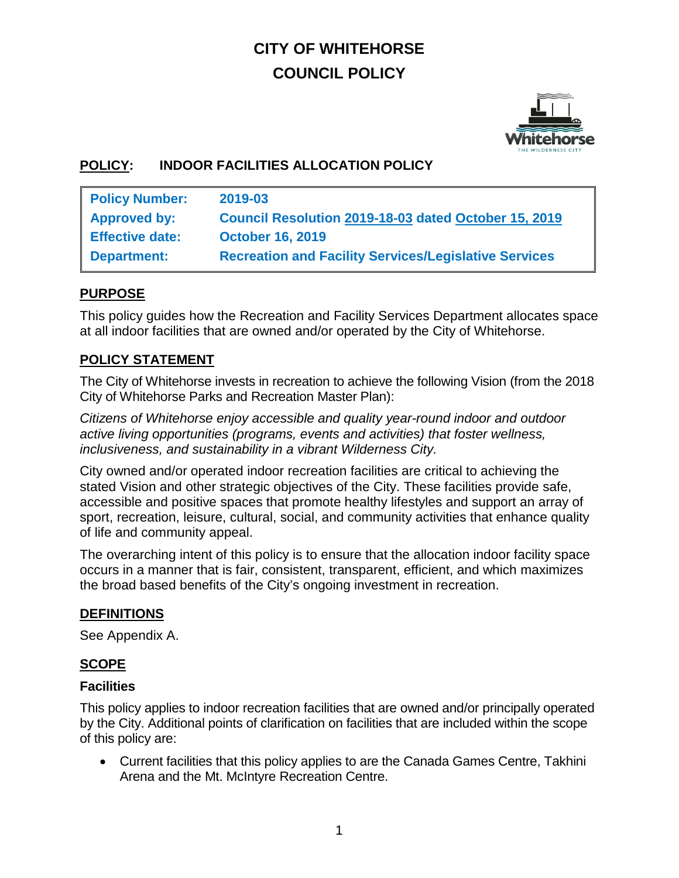# **CITY OF WHITEHORSE COUNCIL POLICY**



## **POLICY: INDOOR FACILITIES ALLOCATION POLICY**

| <b>Policy Number:</b>  | 2019-03                                                      |
|------------------------|--------------------------------------------------------------|
| <b>Approved by:</b>    | Council Resolution 2019-18-03 dated October 15, 2019         |
| <b>Effective date:</b> | <b>October 16, 2019</b>                                      |
| <b>Department:</b>     | <b>Recreation and Facility Services/Legislative Services</b> |

#### **PURPOSE**

This policy guides how the Recreation and Facility Services Department allocates space at all indoor facilities that are owned and/or operated by the City of Whitehorse.

## **POLICY STATEMENT**

The City of Whitehorse invests in recreation to achieve the following Vision (from the 2018 City of Whitehorse Parks and Recreation Master Plan):

*Citizens of Whitehorse enjoy accessible and quality year-round indoor and outdoor active living opportunities (programs, events and activities) that foster wellness, inclusiveness, and sustainability in a vibrant Wilderness City.*

City owned and/or operated indoor recreation facilities are critical to achieving the stated Vision and other strategic objectives of the City. These facilities provide safe, accessible and positive spaces that promote healthy lifestyles and support an array of sport, recreation, leisure, cultural, social, and community activities that enhance quality of life and community appeal.

The overarching intent of this policy is to ensure that the allocation indoor facility space occurs in a manner that is fair, consistent, transparent, efficient, and which maximizes the broad based benefits of the City's ongoing investment in recreation.

#### **DEFINITIONS**

See Appendix A.

## **SCOPE**

#### **Facilities**

This policy applies to indoor recreation facilities that are owned and/or principally operated by the City. Additional points of clarification on facilities that are included within the scope of this policy are:

• Current facilities that this policy applies to are the Canada Games Centre, Takhini Arena and the Mt. McIntyre Recreation Centre.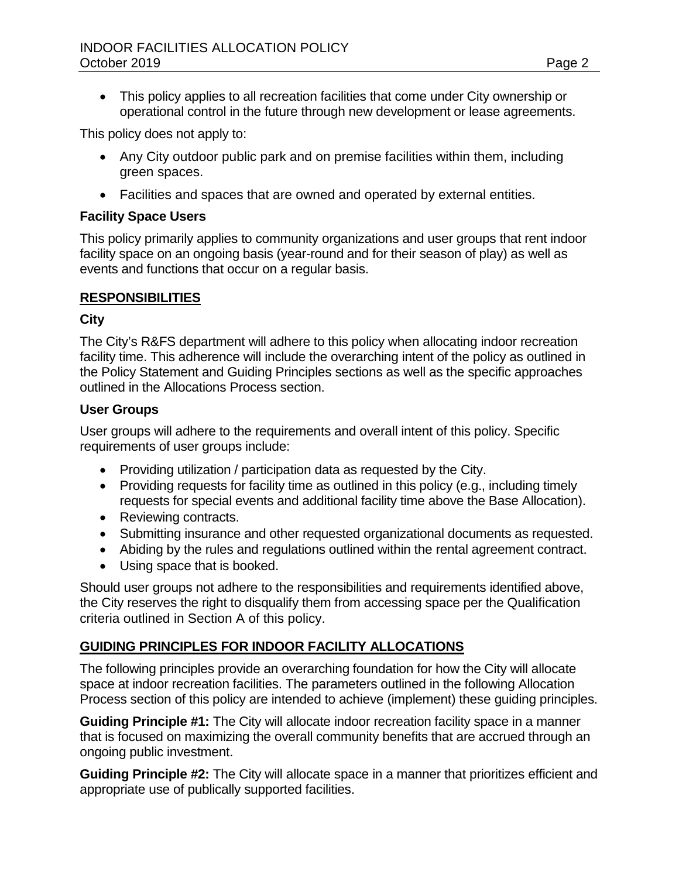• This policy applies to all recreation facilities that come under City ownership or operational control in the future through new development or lease agreements.

This policy does not apply to:

- Any City outdoor public park and on premise facilities within them, including green spaces.
- Facilities and spaces that are owned and operated by external entities.

#### **Facility Space Users**

This policy primarily applies to community organizations and user groups that rent indoor facility space on an ongoing basis (year-round and for their season of play) as well as events and functions that occur on a regular basis.

#### **RESPONSIBILITIES**

#### **City**

The City's R&FS department will adhere to this policy when allocating indoor recreation facility time. This adherence will include the overarching intent of the policy as outlined in the Policy Statement and Guiding Principles sections as well as the specific approaches outlined in the Allocations Process section.

#### **User Groups**

User groups will adhere to the requirements and overall intent of this policy. Specific requirements of user groups include:

- Providing utilization / participation data as requested by the City.
- Providing requests for facility time as outlined in this policy (e.g., including timely requests for special events and additional facility time above the Base Allocation).
- Reviewing contracts.
- Submitting insurance and other requested organizational documents as requested.
- Abiding by the rules and regulations outlined within the rental agreement contract.
- Using space that is booked.

Should user groups not adhere to the responsibilities and requirements identified above, the City reserves the right to disqualify them from accessing space per the Qualification criteria outlined in Section A of this policy.

## **GUIDING PRINCIPLES FOR INDOOR FACILITY ALLOCATIONS**

The following principles provide an overarching foundation for how the City will allocate space at indoor recreation facilities. The parameters outlined in the following Allocation Process section of this policy are intended to achieve (implement) these guiding principles.

**Guiding Principle #1:** The City will allocate indoor recreation facility space in a manner that is focused on maximizing the overall community benefits that are accrued through an ongoing public investment.

**Guiding Principle #2:** The City will allocate space in a manner that prioritizes efficient and appropriate use of publically supported facilities.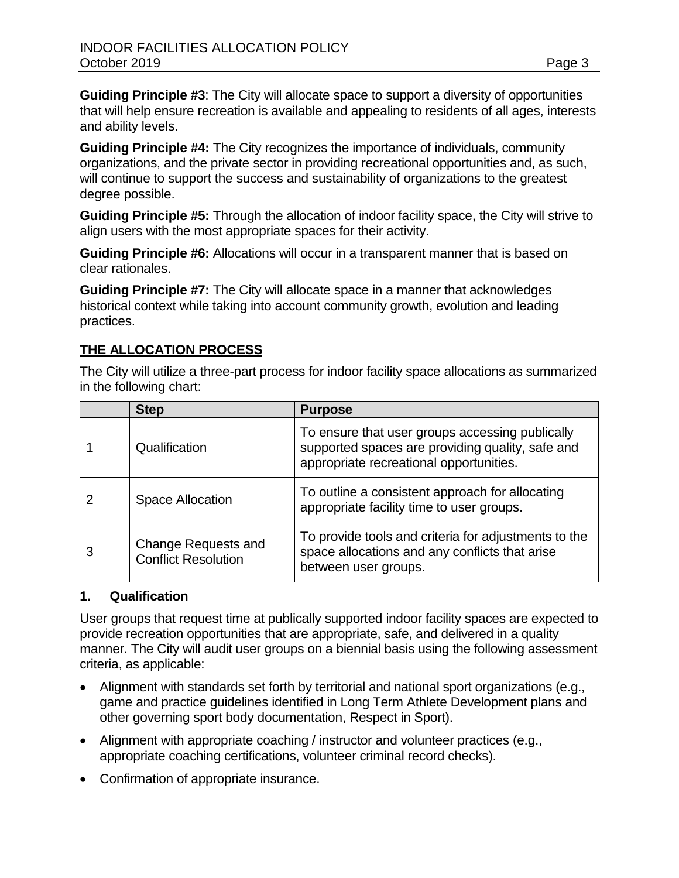**Guiding Principle #3**: The City will allocate space to support a diversity of opportunities that will help ensure recreation is available and appealing to residents of all ages, interests and ability levels.

**Guiding Principle #4:** The City recognizes the importance of individuals, community organizations, and the private sector in providing recreational opportunities and, as such, will continue to support the success and sustainability of organizations to the greatest degree possible.

**Guiding Principle #5:** Through the allocation of indoor facility space, the City will strive to align users with the most appropriate spaces for their activity.

**Guiding Principle #6:** Allocations will occur in a transparent manner that is based on clear rationales.

**Guiding Principle #7:** The City will allocate space in a manner that acknowledges historical context while taking into account community growth, evolution and leading practices.

## **THE ALLOCATION PROCESS**

The City will utilize a three-part process for indoor facility space allocations as summarized in the following chart:

|   | <b>Step</b>                                              | <b>Purpose</b>                                                                                                                                 |
|---|----------------------------------------------------------|------------------------------------------------------------------------------------------------------------------------------------------------|
|   | Qualification                                            | To ensure that user groups accessing publically<br>supported spaces are providing quality, safe and<br>appropriate recreational opportunities. |
|   | <b>Space Allocation</b>                                  | To outline a consistent approach for allocating<br>appropriate facility time to user groups.                                                   |
| 3 | <b>Change Requests and</b><br><b>Conflict Resolution</b> | To provide tools and criteria for adjustments to the<br>space allocations and any conflicts that arise<br>between user groups.                 |

#### **1. Qualification**

User groups that request time at publically supported indoor facility spaces are expected to provide recreation opportunities that are appropriate, safe, and delivered in a quality manner. The City will audit user groups on a biennial basis using the following assessment criteria, as applicable:

- Alignment with standards set forth by territorial and national sport organizations (e.g., game and practice guidelines identified in Long Term Athlete Development plans and other governing sport body documentation, Respect in Sport).
- Alignment with appropriate coaching / instructor and volunteer practices (e.g., appropriate coaching certifications, volunteer criminal record checks).
- Confirmation of appropriate insurance.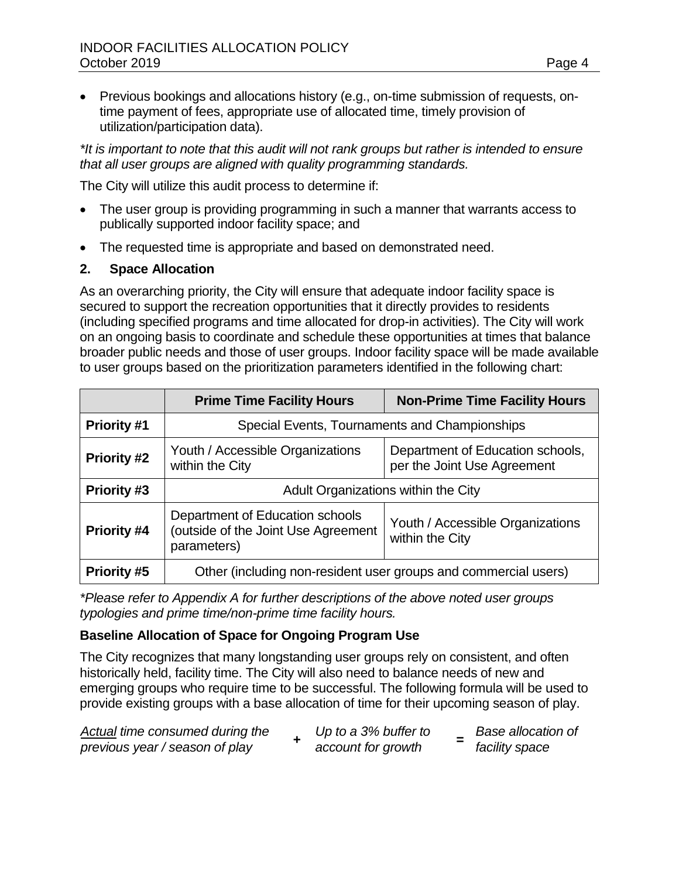• Previous bookings and allocations history (e.g., on-time submission of requests, ontime payment of fees, appropriate use of allocated time, timely provision of utilization/participation data).

*\*It is important to note that this audit will not rank groups but rather is intended to ensure that all user groups are aligned with quality programming standards.* 

The City will utilize this audit process to determine if:

- The user group is providing programming in such a manner that warrants access to publically supported indoor facility space; and
- The requested time is appropriate and based on demonstrated need.

## **2. Space Allocation**

As an overarching priority, the City will ensure that adequate indoor facility space is secured to support the recreation opportunities that it directly provides to residents (including specified programs and time allocated for drop-in activities). The City will work on an ongoing basis to coordinate and schedule these opportunities at times that balance broader public needs and those of user groups. Indoor facility space will be made available to user groups based on the prioritization parameters identified in the following chart:

|                                                                                                                                | <b>Prime Time Facility Hours</b>                                                                                       | <b>Non-Prime Time Facility Hours</b> |  |
|--------------------------------------------------------------------------------------------------------------------------------|------------------------------------------------------------------------------------------------------------------------|--------------------------------------|--|
| <b>Priority #1</b>                                                                                                             | Special Events, Tournaments and Championships                                                                          |                                      |  |
| <b>Priority #2</b>                                                                                                             | Youth / Accessible Organizations<br>Department of Education schools,<br>per the Joint Use Agreement<br>within the City |                                      |  |
| <b>Priority #3</b>                                                                                                             | Adult Organizations within the City                                                                                    |                                      |  |
| Department of Education schools<br>(outside of the Joint Use Agreement<br><b>Priority #4</b><br>within the City<br>parameters) |                                                                                                                        | Youth / Accessible Organizations     |  |
| <b>Priority #5</b>                                                                                                             | Other (including non-resident user groups and commercial users)                                                        |                                      |  |

*\*Please refer to Appendix A for further descriptions of the above noted user groups typologies and prime time/non-prime time facility hours.* 

## **Baseline Allocation of Space for Ongoing Program Use**

The City recognizes that many longstanding user groups rely on consistent, and often historically held, facility time. The City will also need to balance needs of new and emerging groups who require time to be successful. The following formula will be used to provide existing groups with a base allocation of time for their upcoming season of play.

| Actual time consumed during the | Up to a 3% buffer to | <b>Base allocation of</b> |
|---------------------------------|----------------------|---------------------------|
| previous year / season of play  | account for growth   | facility space            |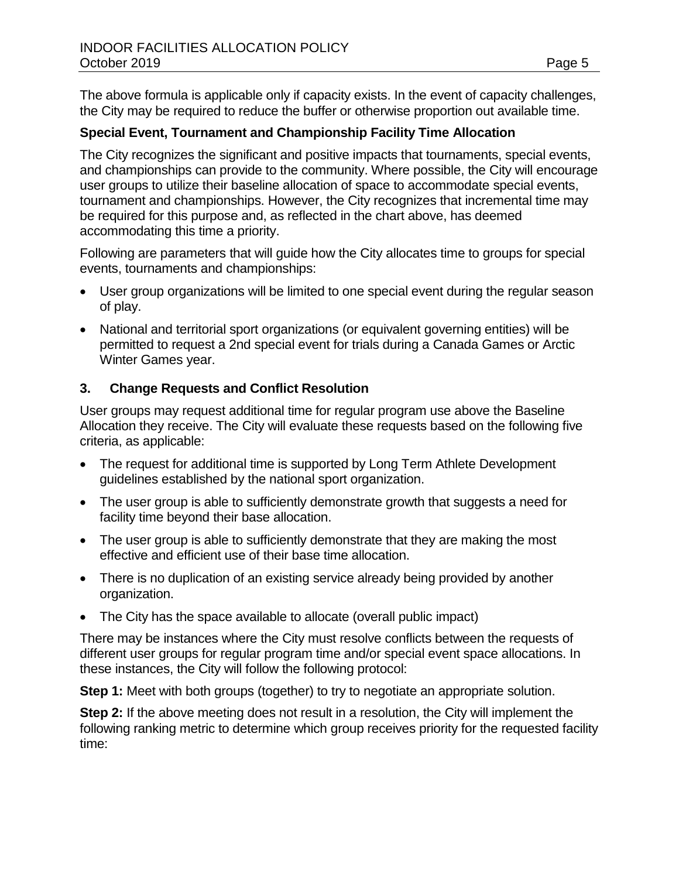The above formula is applicable only if capacity exists. In the event of capacity challenges, the City may be required to reduce the buffer or otherwise proportion out available time.

### **Special Event, Tournament and Championship Facility Time Allocation**

The City recognizes the significant and positive impacts that tournaments, special events, and championships can provide to the community. Where possible, the City will encourage user groups to utilize their baseline allocation of space to accommodate special events, tournament and championships. However, the City recognizes that incremental time may be required for this purpose and, as reflected in the chart above, has deemed accommodating this time a priority.

Following are parameters that will guide how the City allocates time to groups for special events, tournaments and championships:

- User group organizations will be limited to one special event during the regular season of play.
- National and territorial sport organizations (or equivalent governing entities) will be permitted to request a 2nd special event for trials during a Canada Games or Arctic Winter Games year.

## **3. Change Requests and Conflict Resolution**

User groups may request additional time for regular program use above the Baseline Allocation they receive. The City will evaluate these requests based on the following five criteria, as applicable:

- The request for additional time is supported by Long Term Athlete Development guidelines established by the national sport organization.
- The user group is able to sufficiently demonstrate growth that suggests a need for facility time beyond their base allocation.
- The user group is able to sufficiently demonstrate that they are making the most effective and efficient use of their base time allocation.
- There is no duplication of an existing service already being provided by another organization.
- The City has the space available to allocate (overall public impact)

There may be instances where the City must resolve conflicts between the requests of different user groups for regular program time and/or special event space allocations. In these instances, the City will follow the following protocol:

**Step 1:** Meet with both groups (together) to try to negotiate an appropriate solution.

**Step 2:** If the above meeting does not result in a resolution, the City will implement the following ranking metric to determine which group receives priority for the requested facility time: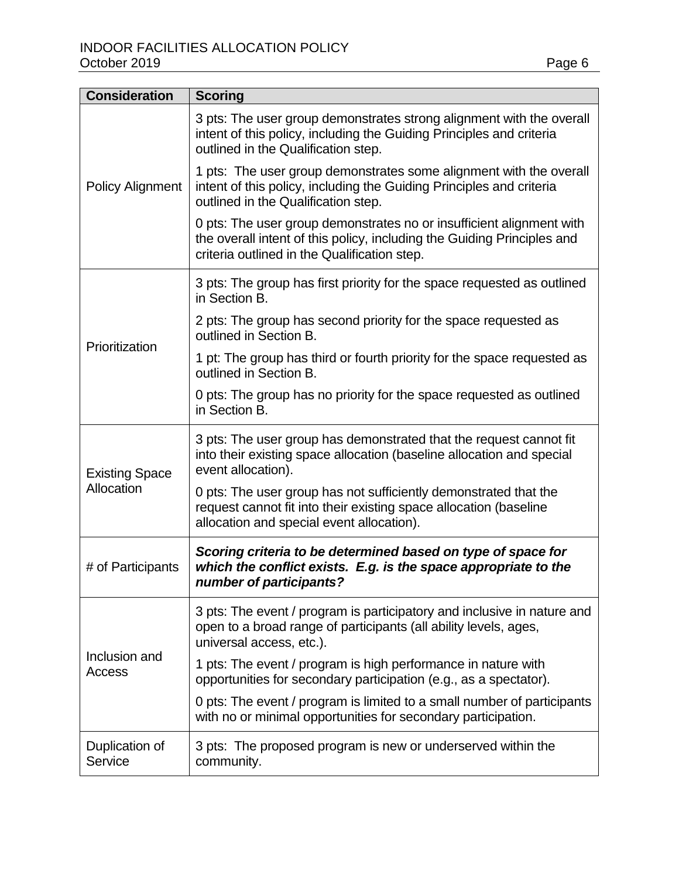| <b>Consideration</b>                                                                                                                                                            | <b>Scoring</b>                                                                                                                                                                                  |
|---------------------------------------------------------------------------------------------------------------------------------------------------------------------------------|-------------------------------------------------------------------------------------------------------------------------------------------------------------------------------------------------|
|                                                                                                                                                                                 | 3 pts: The user group demonstrates strong alignment with the overall<br>intent of this policy, including the Guiding Principles and criteria<br>outlined in the Qualification step.             |
| <b>Policy Alignment</b>                                                                                                                                                         | 1 pts: The user group demonstrates some alignment with the overall<br>intent of this policy, including the Guiding Principles and criteria<br>outlined in the Qualification step.               |
|                                                                                                                                                                                 | 0 pts: The user group demonstrates no or insufficient alignment with<br>the overall intent of this policy, including the Guiding Principles and<br>criteria outlined in the Qualification step. |
|                                                                                                                                                                                 | 3 pts: The group has first priority for the space requested as outlined<br>in Section B.                                                                                                        |
| Prioritization                                                                                                                                                                  | 2 pts: The group has second priority for the space requested as<br>outlined in Section B.                                                                                                       |
|                                                                                                                                                                                 | 1 pt: The group has third or fourth priority for the space requested as<br>outlined in Section B.                                                                                               |
|                                                                                                                                                                                 | 0 pts: The group has no priority for the space requested as outlined<br>in Section B.                                                                                                           |
| <b>Existing Space</b>                                                                                                                                                           | 3 pts: The user group has demonstrated that the request cannot fit<br>into their existing space allocation (baseline allocation and special<br>event allocation).                               |
| Allocation                                                                                                                                                                      | 0 pts: The user group has not sufficiently demonstrated that the<br>request cannot fit into their existing space allocation (baseline<br>allocation and special event allocation).              |
| Scoring criteria to be determined based on type of space for<br>which the conflict exists. E.g. is the space appropriate to the<br># of Participants<br>number of participants? |                                                                                                                                                                                                 |
|                                                                                                                                                                                 | 3 pts: The event / program is participatory and inclusive in nature and<br>open to a broad range of participants (all ability levels, ages,<br>universal access, etc.).                         |
| Inclusion and<br>Access                                                                                                                                                         | 1 pts: The event / program is high performance in nature with<br>opportunities for secondary participation (e.g., as a spectator).                                                              |
|                                                                                                                                                                                 | 0 pts: The event / program is limited to a small number of participants<br>with no or minimal opportunities for secondary participation.                                                        |
| Duplication of<br>Service                                                                                                                                                       | 3 pts: The proposed program is new or underserved within the<br>community.                                                                                                                      |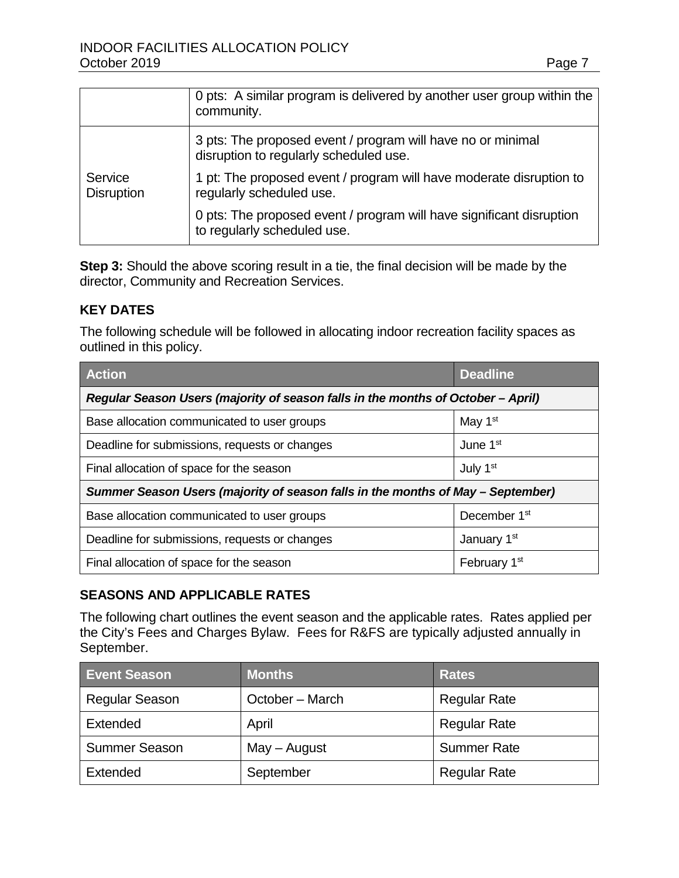|                              | 0 pts: A similar program is delivered by another user group within the<br>community.                  |
|------------------------------|-------------------------------------------------------------------------------------------------------|
|                              | 3 pts: The proposed event / program will have no or minimal<br>disruption to regularly scheduled use. |
| Service<br><b>Disruption</b> | 1 pt: The proposed event / program will have moderate disruption to<br>regularly scheduled use.       |
|                              | 0 pts: The proposed event / program will have significant disruption<br>to regularly scheduled use.   |

**Step 3:** Should the above scoring result in a tie, the final decision will be made by the director, Community and Recreation Services.

#### **KEY DATES**

The following schedule will be followed in allocating indoor recreation facility spaces as outlined in this policy.

| <b>Action</b>                                                                    | <b>Deadline</b>          |  |  |
|----------------------------------------------------------------------------------|--------------------------|--|--|
| Regular Season Users (majority of season falls in the months of October - April) |                          |  |  |
| Base allocation communicated to user groups                                      | May 1 <sup>st</sup>      |  |  |
| Deadline for submissions, requests or changes                                    | June 1 <sup>st</sup>     |  |  |
| Final allocation of space for the season                                         | July 1 <sup>st</sup>     |  |  |
| Summer Season Users (majority of season falls in the months of May - September)  |                          |  |  |
| Base allocation communicated to user groups                                      | December 1 <sup>st</sup> |  |  |
| Deadline for submissions, requests or changes                                    | January 1 <sup>st</sup>  |  |  |
| Final allocation of space for the season                                         | February 1 <sup>st</sup> |  |  |

#### **SEASONS AND APPLICABLE RATES**

The following chart outlines the event season and the applicable rates. Rates applied per the City's Fees and Charges Bylaw. Fees for R&FS are typically adjusted annually in September.

| <b>Event Season</b>   | <b>Months</b>   | <b>Rates</b>        |
|-----------------------|-----------------|---------------------|
| <b>Regular Season</b> | October – March | <b>Regular Rate</b> |
| Extended              | April           | <b>Regular Rate</b> |
| <b>Summer Season</b>  | $May - August$  | <b>Summer Rate</b>  |
| Extended              | September       | <b>Regular Rate</b> |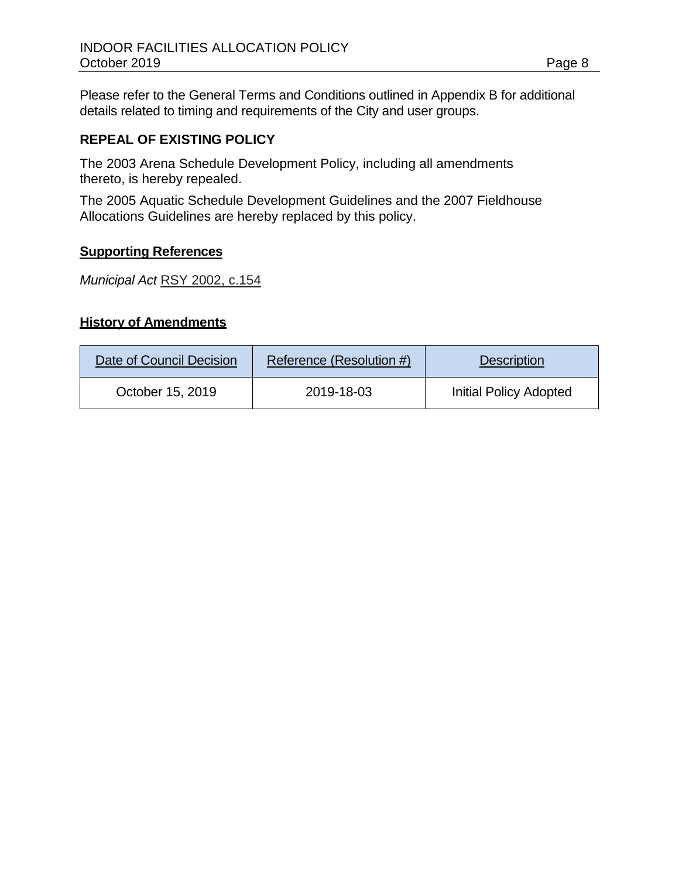Please refer to the General Terms and Conditions outlined in Appendix B for additional details related to timing and requirements of the City and user groups.

#### **REPEAL OF EXISTING POLICY**

The 2003 Arena Schedule Development Policy, including all amendments thereto, is hereby repealed.

The 2005 Aquatic Schedule Development Guidelines and the 2007 Fieldhouse Allocations Guidelines are hereby replaced by this policy.

#### **Supporting References**

*Municipal Act* [RSY 2002, c.154](http://www.gov.yk.ca/legislation/acts/huri_c.pdf)

### **History of Amendments**

| Date of Council Decision | Reference (Resolution #) | <b>Description</b>            |  |
|--------------------------|--------------------------|-------------------------------|--|
| October 15, 2019         | 2019-18-03               | <b>Initial Policy Adopted</b> |  |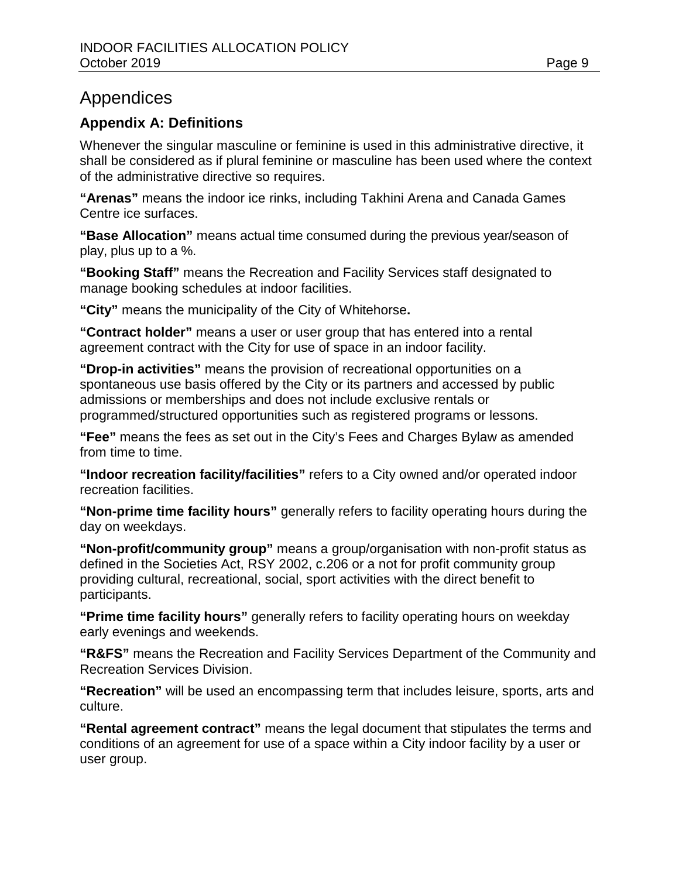## Appendices

## **Appendix A: Definitions**

Whenever the singular masculine or feminine is used in this administrative directive, it shall be considered as if plural feminine or masculine has been used where the context of the administrative directive so requires.

**"Arenas"** means the indoor ice rinks, including Takhini Arena and Canada Games Centre ice surfaces.

**"Base Allocation"** means actual time consumed during the previous year/season of play, plus up to a %.

**"Booking Staff"** means the Recreation and Facility Services staff designated to manage booking schedules at indoor facilities.

**"City"** means the municipality of the City of Whitehorse**.**

**"Contract holder"** means a user or user group that has entered into a rental agreement contract with the City for use of space in an indoor facility.

**"Drop-in activities"** means the provision of recreational opportunities on a spontaneous use basis offered by the City or its partners and accessed by public admissions or memberships and does not include exclusive rentals or programmed/structured opportunities such as registered programs or lessons.

**"Fee"** means the fees as set out in the City's Fees and Charges Bylaw as amended from time to time.

**"Indoor recreation facility/facilities"** refers to a City owned and/or operated indoor recreation facilities.

**"Non-prime time facility hours"** generally refers to facility operating hours during the day on weekdays.

**"Non-profit/community group"** means a group/organisation with non-profit status as defined in the Societies Act, RSY 2002, c.206 or a not for profit community group providing cultural, recreational, social, sport activities with the direct benefit to participants.

**"Prime time facility hours"** generally refers to facility operating hours on weekday early evenings and weekends.

**"R&FS"** means the Recreation and Facility Services Department of the Community and Recreation Services Division.

**"Recreation"** will be used an encompassing term that includes leisure, sports, arts and culture.

**"Rental agreement contract"** means the legal document that stipulates the terms and conditions of an agreement for use of a space within a City indoor facility by a user or user group.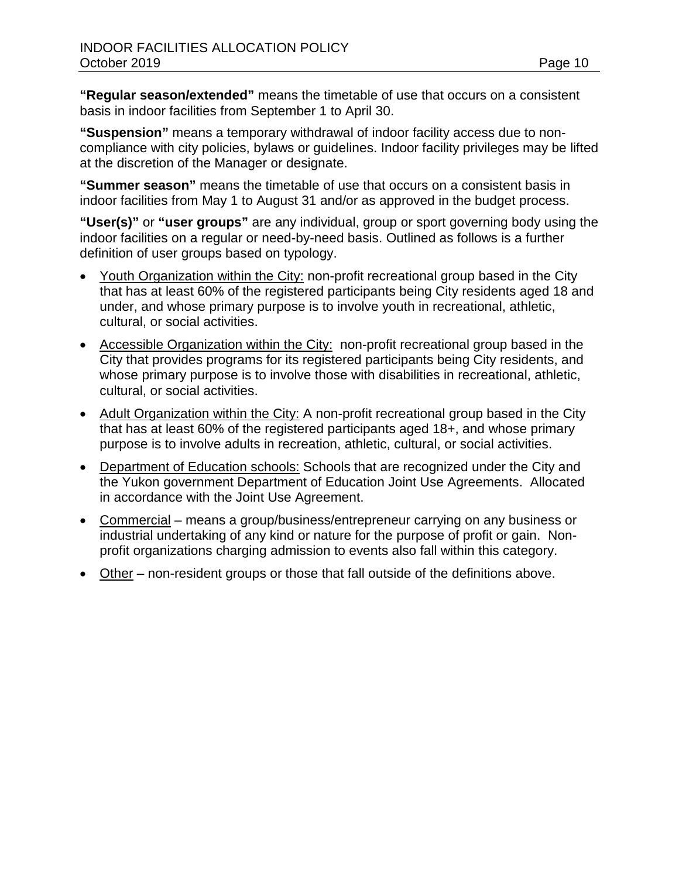**"Regular season/extended"** means the timetable of use that occurs on a consistent basis in indoor facilities from September 1 to April 30.

**"Suspension"** means a temporary withdrawal of indoor facility access due to noncompliance with city policies, bylaws or guidelines. Indoor facility privileges may be lifted at the discretion of the Manager or designate.

**"Summer season"** means the timetable of use that occurs on a consistent basis in indoor facilities from May 1 to August 31 and/or as approved in the budget process.

**"User(s)"** or **"user groups"** are any individual, group or sport governing body using the indoor facilities on a regular or need-by-need basis. Outlined as follows is a further definition of user groups based on typology.

- Youth Organization within the City: non-profit recreational group based in the City that has at least 60% of the registered participants being City residents aged 18 and under, and whose primary purpose is to involve youth in recreational, athletic, cultural, or social activities.
- Accessible Organization within the City: non-profit recreational group based in the City that provides programs for its registered participants being City residents, and whose primary purpose is to involve those with disabilities in recreational, athletic, cultural, or social activities.
- Adult Organization within the City: A non-profit recreational group based in the City that has at least 60% of the registered participants aged 18+, and whose primary purpose is to involve adults in recreation, athletic, cultural, or social activities.
- Department of Education schools: Schools that are recognized under the City and the Yukon government Department of Education Joint Use Agreements. Allocated in accordance with the Joint Use Agreement.
- Commercial means a group/business/entrepreneur carrying on any business or industrial undertaking of any kind or nature for the purpose of profit or gain. Nonprofit organizations charging admission to events also fall within this category.
- Other non-resident groups or those that fall outside of the definitions above.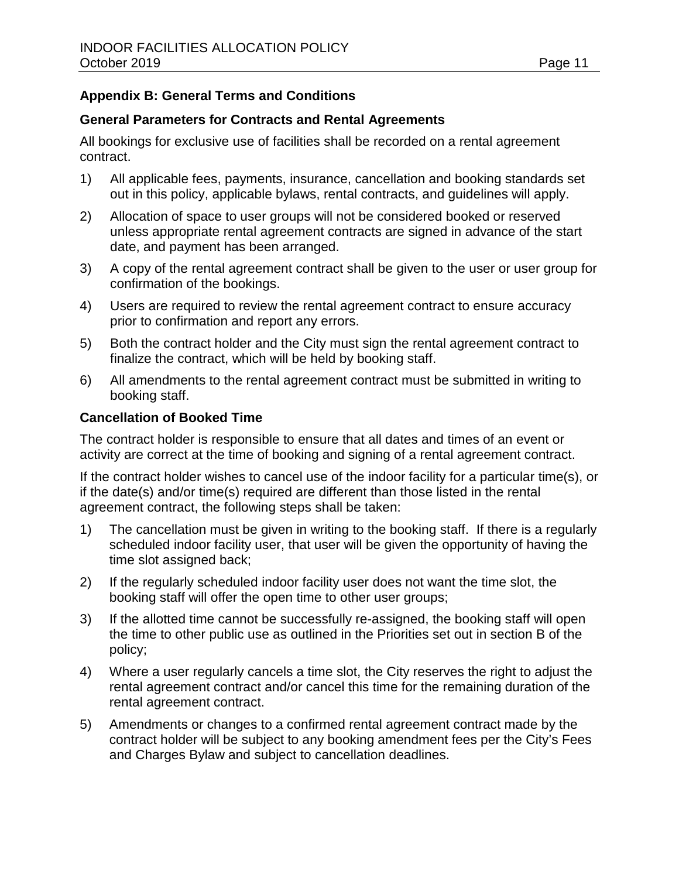## **Appendix B: General Terms and Conditions**

#### **General Parameters for Contracts and Rental Agreements**

All bookings for exclusive use of facilities shall be recorded on a rental agreement contract.

- 1) All applicable fees, payments, insurance, cancellation and booking standards set out in this policy, applicable bylaws, rental contracts, and guidelines will apply.
- 2) Allocation of space to user groups will not be considered booked or reserved unless appropriate rental agreement contracts are signed in advance of the start date, and payment has been arranged.
- 3) A copy of the rental agreement contract shall be given to the user or user group for confirmation of the bookings.
- 4) Users are required to review the rental agreement contract to ensure accuracy prior to confirmation and report any errors.
- 5) Both the contract holder and the City must sign the rental agreement contract to finalize the contract, which will be held by booking staff.
- 6) All amendments to the rental agreement contract must be submitted in writing to booking staff.

#### **Cancellation of Booked Time**

The contract holder is responsible to ensure that all dates and times of an event or activity are correct at the time of booking and signing of a rental agreement contract.

If the contract holder wishes to cancel use of the indoor facility for a particular time(s), or if the date(s) and/or time(s) required are different than those listed in the rental agreement contract, the following steps shall be taken:

- 1) The cancellation must be given in writing to the booking staff. If there is a regularly scheduled indoor facility user, that user will be given the opportunity of having the time slot assigned back;
- 2) If the regularly scheduled indoor facility user does not want the time slot, the booking staff will offer the open time to other user groups;
- 3) If the allotted time cannot be successfully re-assigned, the booking staff will open the time to other public use as outlined in the Priorities set out in section B of the policy;
- 4) Where a user regularly cancels a time slot, the City reserves the right to adjust the rental agreement contract and/or cancel this time for the remaining duration of the rental agreement contract.
- 5) Amendments or changes to a confirmed rental agreement contract made by the contract holder will be subject to any booking amendment fees per the City's Fees and Charges Bylaw and subject to cancellation deadlines.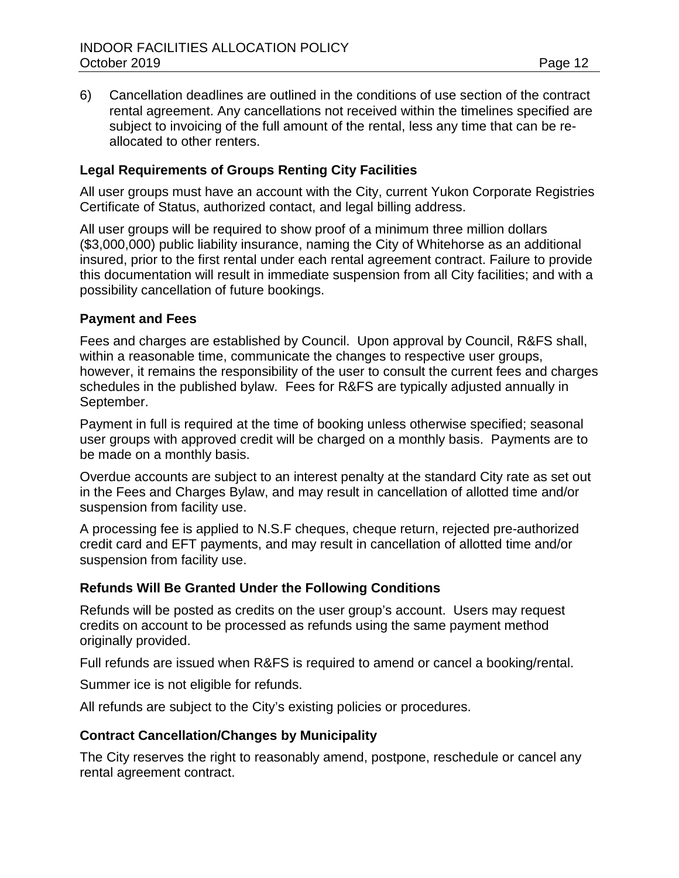6) Cancellation deadlines are outlined in the conditions of use section of the contract rental agreement. Any cancellations not received within the timelines specified are subject to invoicing of the full amount of the rental, less any time that can be reallocated to other renters.

#### **Legal Requirements of Groups Renting City Facilities**

All user groups must have an account with the City, current Yukon Corporate Registries Certificate of Status, authorized contact, and legal billing address.

All user groups will be required to show proof of a minimum three million dollars (\$3,000,000) public liability insurance, naming the City of Whitehorse as an additional insured, prior to the first rental under each rental agreement contract. Failure to provide this documentation will result in immediate suspension from all City facilities; and with a possibility cancellation of future bookings.

#### **Payment and Fees**

Fees and charges are established by Council. Upon approval by Council, R&FS shall, within a reasonable time, communicate the changes to respective user groups, however, it remains the responsibility of the user to consult the current fees and charges schedules in the published bylaw. Fees for R&FS are typically adjusted annually in September.

Payment in full is required at the time of booking unless otherwise specified; seasonal user groups with approved credit will be charged on a monthly basis. Payments are to be made on a monthly basis.

Overdue accounts are subject to an interest penalty at the standard City rate as set out in the Fees and Charges Bylaw, and may result in cancellation of allotted time and/or suspension from facility use.

A processing fee is applied to N.S.F cheques, cheque return, rejected pre-authorized credit card and EFT payments, and may result in cancellation of allotted time and/or suspension from facility use.

#### **Refunds Will Be Granted Under the Following Conditions**

Refunds will be posted as credits on the user group's account. Users may request credits on account to be processed as refunds using the same payment method originally provided.

Full refunds are issued when R&FS is required to amend or cancel a booking/rental.

Summer ice is not eligible for refunds.

All refunds are subject to the City's existing policies or procedures.

#### **Contract Cancellation/Changes by Municipality**

The City reserves the right to reasonably amend, postpone, reschedule or cancel any rental agreement contract.